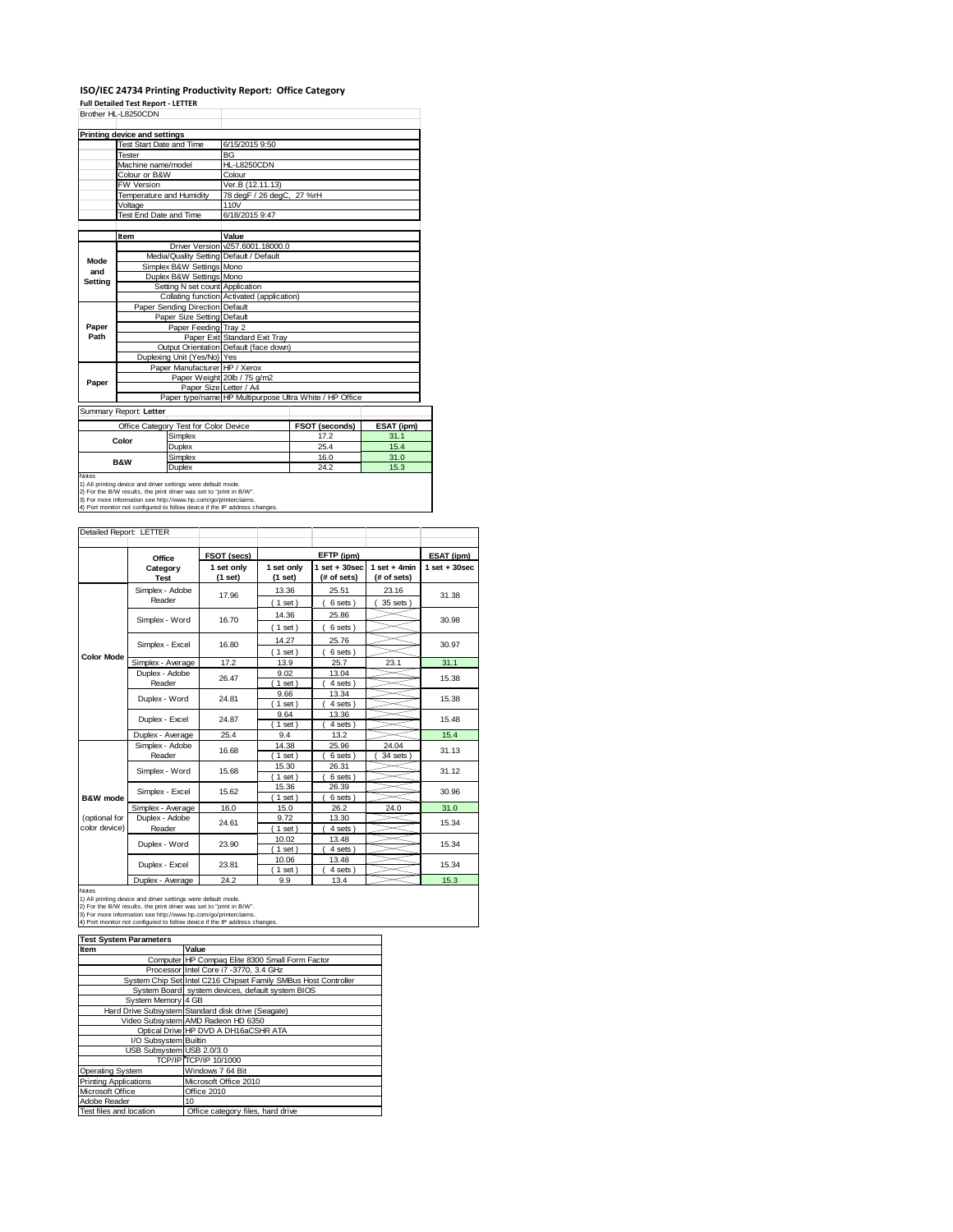## **ISO/IEC 24734 Printing Productivity Report: Office Category Full Detailed Test Report ‐ LETTER**

| Brother HL-L8250CDN                                           |                                     |                                       |                                            |                                                         |            |  |
|---------------------------------------------------------------|-------------------------------------|---------------------------------------|--------------------------------------------|---------------------------------------------------------|------------|--|
|                                                               | <b>Printing device and settings</b> |                                       |                                            |                                                         |            |  |
|                                                               | <b>Test Start Date and Time</b>     |                                       | 6/15/2015 9:50                             |                                                         |            |  |
|                                                               | Tester                              |                                       | <b>BG</b>                                  |                                                         |            |  |
|                                                               | Machine name/model                  |                                       | <b>HL-L8250CDN</b>                         |                                                         |            |  |
|                                                               | Colour or B&W                       |                                       | Colour                                     |                                                         |            |  |
| FW Version                                                    |                                     |                                       | Ver.B (12.11.13)                           |                                                         |            |  |
|                                                               | Temperature and Humidity            |                                       | 78 degF / 26 degC, 27 %rH                  |                                                         |            |  |
|                                                               | Voltage                             |                                       | 110V                                       |                                                         |            |  |
|                                                               | Test End Date and Time              |                                       | 6/18/2015 9:47                             |                                                         |            |  |
|                                                               |                                     |                                       |                                            |                                                         |            |  |
|                                                               | Item                                |                                       | Value                                      |                                                         |            |  |
|                                                               |                                     |                                       | Driver Version v257.6001.18000.0           |                                                         |            |  |
| Mode                                                          |                                     |                                       | Media/Quality Setting Default / Default    |                                                         |            |  |
| and                                                           |                                     | Simplex B&W Settings Mono             |                                            |                                                         |            |  |
| Setting                                                       |                                     | Duplex B&W Settings Mono              |                                            |                                                         |            |  |
|                                                               |                                     | Setting N set count Application       |                                            |                                                         |            |  |
|                                                               |                                     |                                       | Collating function Activated (application) |                                                         |            |  |
|                                                               |                                     | Paper Sending Direction Default       |                                            |                                                         |            |  |
|                                                               |                                     | Paper Size Setting Default            |                                            |                                                         |            |  |
| Paper                                                         |                                     | Paper Feeding Tray 2                  |                                            |                                                         |            |  |
| Path                                                          |                                     |                                       | Paper Exit Standard Exit Tray              |                                                         |            |  |
|                                                               |                                     |                                       | Output Orientation Default (face down)     |                                                         |            |  |
|                                                               |                                     | Duplexing Unit (Yes/No) Yes           |                                            |                                                         |            |  |
|                                                               |                                     | Paper Manufacturer HP / Xerox         |                                            |                                                         |            |  |
| Paper                                                         |                                     |                                       | Paper Weight 20lb / 75 g/m2                |                                                         |            |  |
|                                                               |                                     |                                       | Paper Size Letter / A4                     |                                                         |            |  |
|                                                               |                                     |                                       |                                            | Paper type/name HP Multipurpose Ultra White / HP Office |            |  |
|                                                               | Summary Report: Letter              |                                       |                                            |                                                         |            |  |
|                                                               |                                     | Office Category Test for Color Device |                                            | <b>FSOT (seconds)</b>                                   | ESAT (ipm) |  |
|                                                               | Color                               | Simplex                               |                                            | 17.2                                                    | 31.1       |  |
|                                                               |                                     | Duplex                                |                                            | 25.4                                                    | 15.4       |  |
|                                                               |                                     | Simplex                               |                                            | 16.0                                                    | 31.0       |  |
|                                                               | <b>B&amp;W</b>                      | Duplex                                |                                            | 24.2                                                    | 15.3       |  |
| Notes                                                         |                                     |                                       |                                            |                                                         |            |  |
| 1) All printing device and driver settings were default mode. |                                     |                                       |                                            |                                                         |            |  |

1) All printing device and driver settings were default mode.<br>2) For the B/W results, the print driver was set to "print in B/W".<br>3) For more information see http://www.hp.com/go/printerclaims.<br>4) Port monitor not configur

Detailed Report: LETTER

|                                | Office                    | FSOT (secs)           |                       | EFTP (ipm)                       |                               | ESAT (ipm)        |
|--------------------------------|---------------------------|-----------------------|-----------------------|----------------------------------|-------------------------------|-------------------|
|                                | Category<br><b>Test</b>   | 1 set only<br>(1 set) | 1 set only<br>(1 set) | $1$ set $+30$ sec<br>(# of sets) | $1$ set + 4min<br>(# of sets) | $1$ set $+30$ sec |
|                                | Simplex - Adobe<br>Reader | 17.96                 | 13.36<br>$(1$ set)    | 25.51<br>6 sets)                 | 23.16<br>35 sets )            | 31.38             |
|                                | Simplex - Word            | 16.70                 | 14.36<br>$1$ set)     | 25.86<br>6 sets)                 |                               | 30.98             |
| <b>Color Mode</b>              | Simplex - Excel           | 16.80                 | 14.27<br>$(1$ set)    | 25.76<br>6 sets )                |                               | 30.97             |
|                                | Simplex - Average         | 17.2                  | 13.9                  | 25.7                             | 23.1                          | 31.1              |
|                                | Duplex - Adobe<br>Reader  | 26.47                 | 9.02<br>$1$ set)      | 13.04<br>4 sets)                 |                               | 15.38             |
|                                | Duplex - Word             | 24.81                 | 9.66<br>$1$ set)      | 13.34<br>4 sets )                |                               | 15.38             |
|                                | Duplex - Excel            | 24.87                 | 9.64<br>$1$ set)      | 13.36<br>4 sets                  |                               | 15.48             |
|                                | Duplex - Average          | 25.4                  | 9.4                   | 13.2                             |                               | 15.4              |
|                                | Simplex - Adobe<br>Reader | 16.68                 | 14.38<br>$1$ set)     | 25.96<br>6 sets                  | 24.04<br>34 sets              | 31.13             |
|                                | Simplex - Word            | 15.68                 | 15.30<br>$1$ set)     | 26.31<br>6 sets)                 |                               | 31.12             |
| B&W mode                       | Simplex - Excel           | 15.62                 | 15.36<br>$1$ set)     | 26.39<br>6 sets)                 |                               | 30.96             |
|                                | Simplex - Average         | 16.0                  | 15.0                  | 26.2                             | 24.0                          | 31.0              |
| (optional for<br>color device) | Duplex - Adobe<br>Reader  | 24.61                 | 9.72<br>$1$ set)      | 13.30<br>4 sets)                 |                               | 15.34             |
|                                | Duplex - Word             | 23.90                 | 10.02<br>$1$ set)     | 13.48<br>4 sets                  |                               | 15.34             |
|                                | Duplex - Excel            | 23.81                 | 10.06<br>$1$ set)     | 13.48<br>4 sets                  |                               | 15.34             |
|                                | Duplex - Average          | 24.2                  | 9.9                   | 13.4                             |                               | 15.3              |

Notes<br>1) All printing device and driver settings were default mode.<br>2) For the B/W results, the print driver was set to "print in B/W".<br>3) For more information see http://www.hp.com/go/printerclaims.<br>4) Port monitor not co

| <b>Test System Parameters</b> |                                                                 |
|-------------------------------|-----------------------------------------------------------------|
| Item                          | Value                                                           |
|                               | Computer HP Compaq Elite 8300 Small Form Factor                 |
|                               | Processor Intel Core i7 -3770, 3.4 GHz                          |
|                               | System Chip Set Intel C216 Chipset Family SMBus Host Controller |
|                               | System Board system devices, default system BIOS                |
| System Memory 4 GB            |                                                                 |
|                               | Hard Drive Subsystem Standard disk drive (Seagate)              |
|                               | Video Subsystem AMD Radeon HD 6350                              |
|                               | Optical Drive HP DVD A DH16aCSHR ATA                            |
| I/O Subsystem Builtin         |                                                                 |
| USB Subsystem USB 2.0/3.0     |                                                                 |
|                               | TCP/IP TCP/IP 10/1000                                           |
| Operating System              | Windows 7 64 Bit                                                |
| <b>Printing Applications</b>  | Microsoft Office 2010                                           |
| Microsoft Office              | Office 2010                                                     |
| Adobe Reader                  | 10                                                              |
| Test files and location       | Office category files, hard drive                               |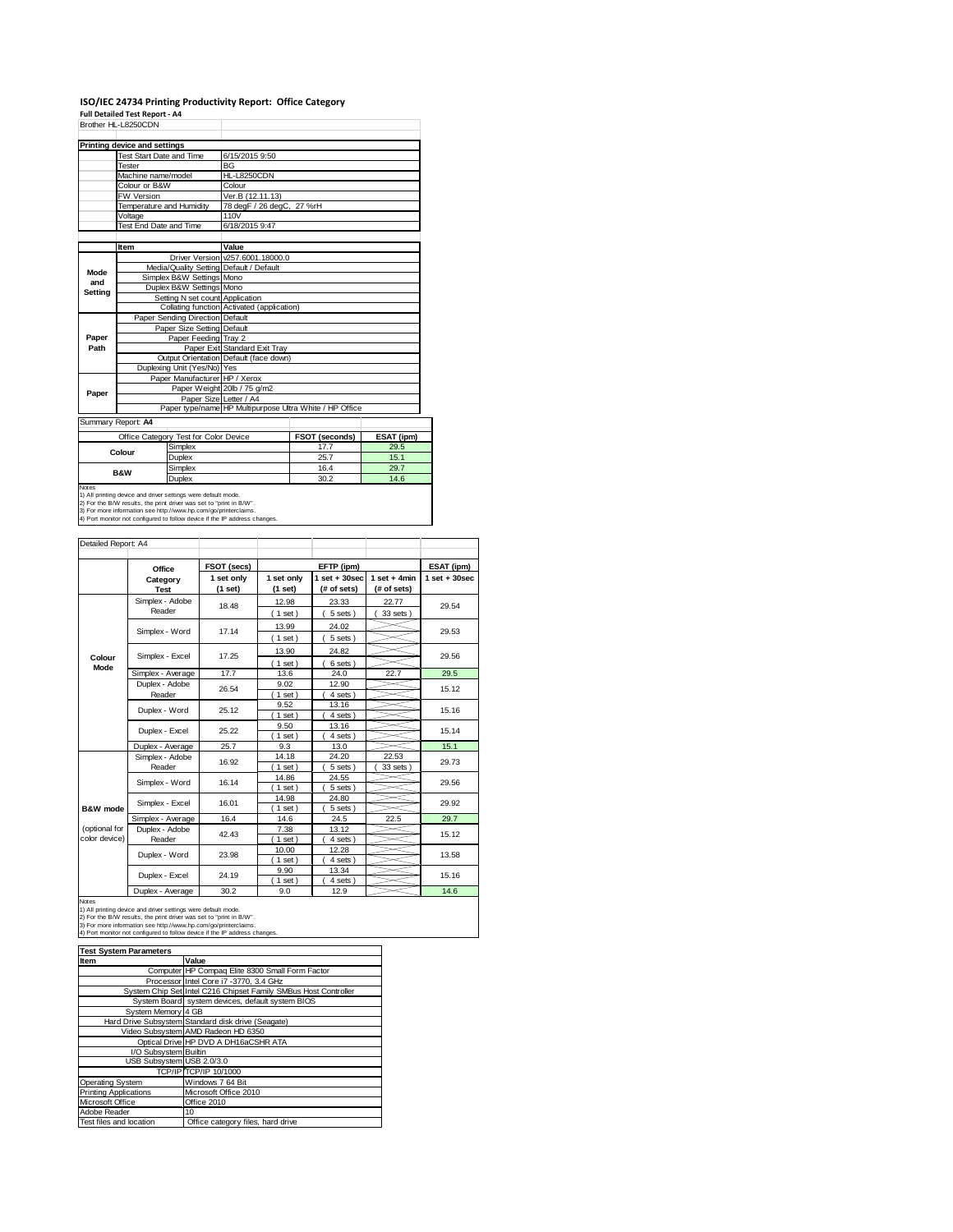# **ISO/IEC 24734 Printing Productivity Report: Office Category Full Detailed Test Report ‐ A4**

| Brother HL-L8250CDN                   |                                        |                                 |                                                                                   |                |            |  |
|---------------------------------------|----------------------------------------|---------------------------------|-----------------------------------------------------------------------------------|----------------|------------|--|
|                                       |                                        |                                 |                                                                                   |                |            |  |
|                                       | Printing device and settings           |                                 |                                                                                   |                |            |  |
|                                       | Test Start Date and Time               |                                 | 6/15/2015 9:50                                                                    |                |            |  |
|                                       | <b>Tester</b>                          |                                 | BG                                                                                |                |            |  |
| Machine name/model                    |                                        |                                 | HL-L8250CDN                                                                       |                |            |  |
|                                       | Colour or B&W                          |                                 | Colour                                                                            |                |            |  |
|                                       | FW Version                             |                                 | Ver.B (12.11.13)                                                                  |                |            |  |
|                                       | Temperature and Humidity               |                                 | 78 degF / 26 degC, 27 %rH                                                         |                |            |  |
|                                       | Voltage                                |                                 | 110V                                                                              |                |            |  |
|                                       | Test End Date and Time                 |                                 | 6/18/2015 9:47                                                                    |                |            |  |
|                                       |                                        |                                 |                                                                                   |                |            |  |
|                                       | Item                                   |                                 | Value                                                                             |                |            |  |
|                                       |                                        |                                 | Driver Version v257.6001.18000.0                                                  |                |            |  |
| Mode                                  |                                        |                                 | Media/Quality Setting Default / Default                                           |                |            |  |
| and                                   |                                        | Simplex B&W Settings Mono       |                                                                                   |                |            |  |
| Setting                               |                                        | Duplex B&W Settings Mono        |                                                                                   |                |            |  |
|                                       |                                        | Setting N set count Application |                                                                                   |                |            |  |
|                                       |                                        |                                 | Collating function Activated (application)                                        |                |            |  |
|                                       |                                        | Paper Sending Direction Default |                                                                                   |                |            |  |
|                                       |                                        | Paper Size Setting Default      |                                                                                   |                |            |  |
| Paper                                 | Paper Feeding Tray 2                   |                                 |                                                                                   |                |            |  |
| Path                                  |                                        |                                 | Paper Exit Standard Exit Tray                                                     |                |            |  |
|                                       | Output Orientation Default (face down) |                                 |                                                                                   |                |            |  |
|                                       |                                        | Duplexing Unit (Yes/No) Yes     |                                                                                   |                |            |  |
|                                       |                                        | Paper Manufacturer HP / Xerox   |                                                                                   |                |            |  |
| Paper                                 |                                        |                                 | Paper Weight 20lb / 75 g/m2                                                       |                |            |  |
|                                       |                                        |                                 | Paper Size Letter / A4<br>Paper type/name HP Multipurpose Ultra White / HP Office |                |            |  |
|                                       |                                        |                                 |                                                                                   |                |            |  |
| Summary Report: A4                    |                                        |                                 |                                                                                   |                |            |  |
| Office Category Test for Color Device |                                        |                                 |                                                                                   | FSOT (seconds) | ESAT (ipm) |  |
|                                       | Colour                                 | Simplex                         |                                                                                   | 17.7           | 29.5       |  |
|                                       |                                        | Duplex                          |                                                                                   | 25.7           | 15.1       |  |
|                                       |                                        | Simplex                         |                                                                                   | 16.4           | 29.7       |  |
| <b>B&amp;W</b><br>Duplex              |                                        |                                 |                                                                                   | 30.2           | 14.6       |  |

Notes 2012 Duplex 30.2 14.6<br>1) All princing device and diver settings were default mode.<br>2) For the BAW results, the print direct was set to "print in BAW".<br>3) For more information see thtp://www.hp.com/go/printerclaims.<br>4

| Detailed Report: A4            |                           |                       |                       |                                  |                               |                   |
|--------------------------------|---------------------------|-----------------------|-----------------------|----------------------------------|-------------------------------|-------------------|
|                                | Office                    | FSOT (secs)           |                       | EFTP (ipm)                       |                               | ESAT (ipm)        |
|                                | Category<br><b>Test</b>   | 1 set only<br>(1 set) | 1 set only<br>(1 set) | $1$ set $+30$ sec<br>(# of sets) | $1$ set + 4min<br>(# of sets) | $1$ set $+30$ sec |
|                                | Simplex - Adobe<br>Reader | 18.48                 | 12.98<br>$1$ set)     | 23.33<br>5 sets)                 | 22.77<br>33 sets)             | 29.54             |
|                                | Simplex - Word            | 17.14                 | 13.99<br>(1 set)      | 24.02<br>5 sets)                 |                               | 29.53             |
| Colour                         | Simplex - Excel           | 17.25                 | 13.90<br>$1$ set)     | 24.82<br>6 sets)                 |                               | 29.56             |
| Mode                           | Simplex - Average         | 17.7                  | 13.6                  | 24.0                             | 22.7                          | 29.5              |
|                                | Duplex - Adobe<br>Reader  | 26.54                 | 9.02<br>$1$ set)      | 12.90<br>4 sets                  |                               | 15.12             |
|                                | Duplex - Word             | 25.12<br>25.22        | 9.52<br>$1$ set)      | 13.16<br>4 sets                  |                               | 15.16             |
|                                | Duplex - Excel            |                       | 9.50<br>$1$ set)      | 13.16<br>4 sets)                 |                               | 15.14             |
|                                | Duplex - Average          | 25.7                  | 9.3                   | 13.0                             |                               | 15.1              |
|                                | Simplex - Adobe<br>Reader | 16.92                 | 14.18<br>$1$ set)     | 24.20<br>5 sets                  | 22.53<br>33 sets              | 29.73             |
|                                | Simplex - Word            | 16.14                 | 14.86<br>$1$ set)     | 24.55<br>5 sets                  |                               | 29.56             |
| B&W mode                       | Simplex - Excel           | 16.01                 | 14.98<br>$1$ set)     | 24.80<br>5 sets)                 |                               | 29.92             |
|                                | Simplex - Average         | 16.4                  | 14.6                  | 24.5                             | 22.5                          | 29.7              |
| (optional for<br>color device) | Duplex - Adobe<br>Reader  | 42.43                 | 7.38<br>$1$ set)      | 13.12<br>4 sets)                 |                               | 15.12             |
|                                | Duplex - Word             | 23.98                 | 10.00<br>$1$ set)     | 12.28<br>4 sets                  |                               | 13.58             |
|                                | Duplex - Excel            | 24.19                 | 9.90<br>1 set         | 13.34<br>4 sets                  |                               | 15.16             |
|                                | Duplex - Average          | 30.2                  | 9.0                   | 12.9                             |                               | 14.6              |

Notes<br>
Notes<br>
1) All princing device and divide settings were default mode.<br>
2) For the B/W results, the print divide was set to "print in B/W".<br>
3) For the B/W results, the print divide was set to "print in B/W".<br>
4) Por

| <b>Test System Parameters</b> |                                                                 |  |  |
|-------------------------------|-----------------------------------------------------------------|--|--|
| <b>Item</b>                   | Value                                                           |  |  |
|                               | Computer HP Compaq Elite 8300 Small Form Factor                 |  |  |
|                               | Processor Intel Core i7 -3770, 3.4 GHz                          |  |  |
|                               | System Chip Set Intel C216 Chipset Family SMBus Host Controller |  |  |
|                               | System Board system devices, default system BIOS                |  |  |
| System Memory 4 GB            |                                                                 |  |  |
|                               | Hard Drive Subsystem Standard disk drive (Seagate)              |  |  |
|                               | Video Subsystem AMD Radeon HD 6350                              |  |  |
|                               | Optical Drive HP DVD A DH16aCSHR ATA                            |  |  |
| I/O Subsystem Builtin         |                                                                 |  |  |
| USB Subsystem USB 2.0/3.0     |                                                                 |  |  |
|                               | TCP/IP TCP/IP 10/1000                                           |  |  |
| <b>Operating System</b>       | Windows 7 64 Bit                                                |  |  |
| <b>Printing Applications</b>  | Microsoft Office 2010                                           |  |  |
| Microsoft Office              | Office 2010                                                     |  |  |
| Adobe Reader                  | 10                                                              |  |  |
| Test files and location       | Office category files, hard drive                               |  |  |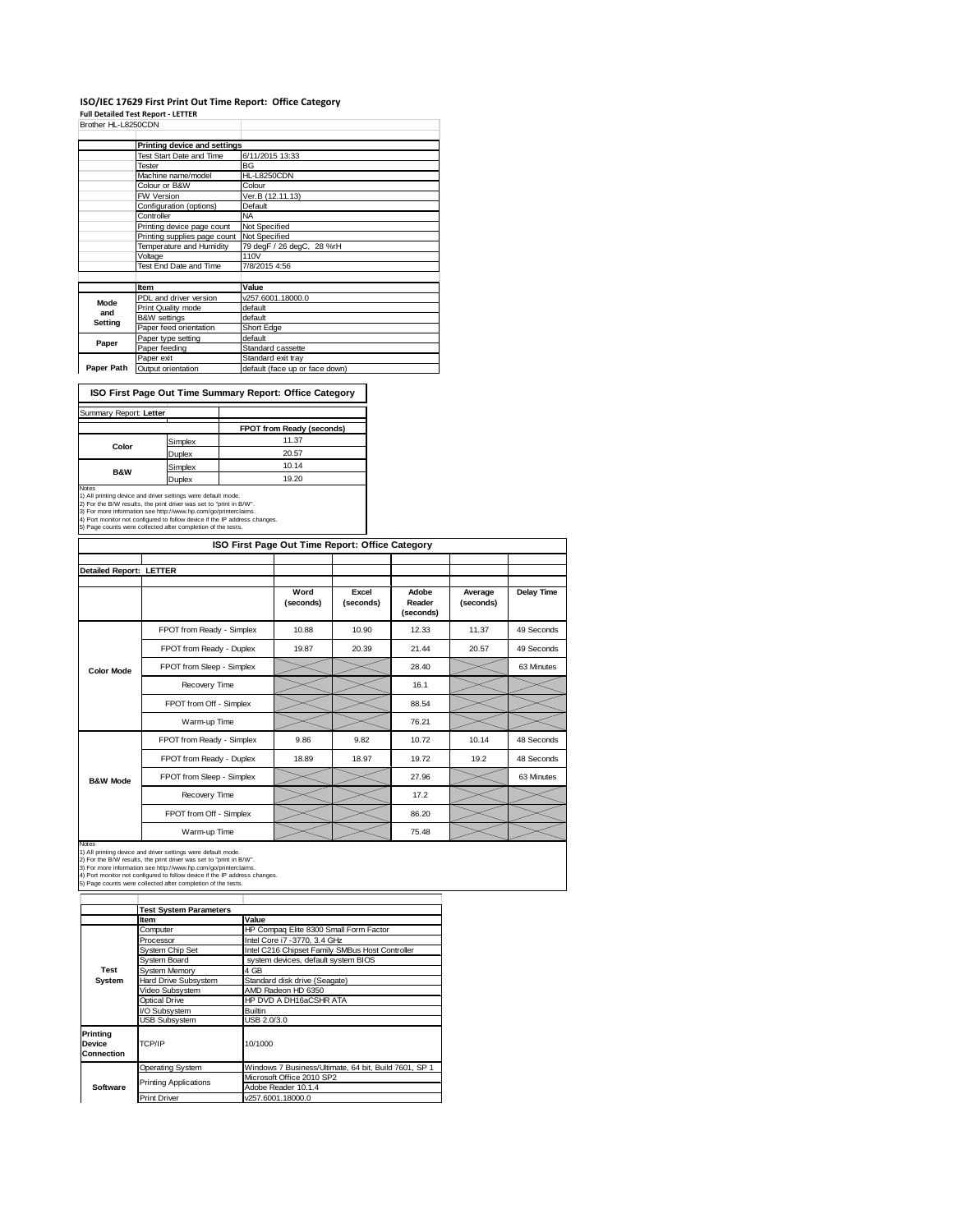### **ISO/IEC 17629 First Print Out Time Report: Office Category**

**Full Detailed Test Report ‐ LETTER**

| Brother HL-L8250CDN |                              |                                |
|---------------------|------------------------------|--------------------------------|
|                     | Printing device and settings |                                |
|                     | Test Start Date and Time     | 6/11/2015 13:33                |
|                     | Tester                       | BG                             |
|                     | Machine name/model           | HL-L8250CDN                    |
|                     | Colour or B&W                | Colour                         |
|                     | <b>FW Version</b>            | Ver.B (12.11.13)               |
|                     | Configuration (options)      | Default                        |
|                     | Controller                   | <b>NA</b>                      |
|                     | Printing device page count   | Not Specified                  |
|                     | Printing supplies page count | Not Specified                  |
|                     | Temperature and Humidity     | 79 degF / 26 degC, 28 %rH      |
|                     | Voltage                      | 110V                           |
|                     | Test End Date and Time       | 7/8/2015 4:56                  |
|                     |                              |                                |
|                     | Item                         | Value                          |
| Mode                | PDL and driver version       | v257.6001.18000.0              |
| and                 | Print Quality mode           | default                        |
| Setting             | <b>B&amp;W</b> settings      | default                        |
|                     | Paper feed orientation       | Short Edge                     |
| Paper               | Paper type setting           | default                        |
|                     | Paper feeding                | Standard cassette              |
|                     | Paper exit                   | Standard exit tray             |
| Paper Path          | Output orientation           | default (face up or face down) |

**ISO First Page Out Time Summary Report: Office Category**

| Summary Report: Letter                                                                                                                                                                                                                                                                         |         |                           |
|------------------------------------------------------------------------------------------------------------------------------------------------------------------------------------------------------------------------------------------------------------------------------------------------|---------|---------------------------|
|                                                                                                                                                                                                                                                                                                |         | FPOT from Ready (seconds) |
| Color                                                                                                                                                                                                                                                                                          | Simplex | 11.37                     |
|                                                                                                                                                                                                                                                                                                | Duplex  | 20.57                     |
| <b>B&amp;W</b>                                                                                                                                                                                                                                                                                 | Simplex | 10.14                     |
|                                                                                                                                                                                                                                                                                                | Duplex  | 19.20                     |
| Notes<br>1) All printing device and driver settings were default mode.<br>2) For the B/W results, the print driver was set to "print in B/W".<br>3) For more information see http://www.hp.com/go/printerclaims.<br>4) Port monitor not configured to follow device if the IP address changes. |         |                           |
| 5) Page counts were collected after completion of the tests.                                                                                                                                                                                                                                   |         |                           |

| ISO First Page Out Time Report: Office Category |                           |                   |                    |                              |                      |                   |
|-------------------------------------------------|---------------------------|-------------------|--------------------|------------------------------|----------------------|-------------------|
|                                                 |                           |                   |                    |                              |                      |                   |
| <b>Detailed Report: LETTER</b>                  |                           |                   |                    |                              |                      |                   |
|                                                 |                           | Word<br>(seconds) | Excel<br>(seconds) | Adobe<br>Reader<br>(seconds) | Average<br>(seconds) | <b>Delay Time</b> |
|                                                 | FPOT from Ready - Simplex | 10.88             | 10.90              | 12.33                        | 11.37                | 49 Seconds        |
|                                                 | FPOT from Ready - Duplex  | 19.87             | 20.39              | 21.44                        | 20.57                | 49 Seconds        |
| <b>Color Mode</b>                               | FPOT from Sleep - Simplex |                   |                    | 28.40                        |                      | 63 Minutes        |
|                                                 | Recovery Time             |                   |                    | 16.1                         |                      |                   |
|                                                 | FPOT from Off - Simplex   |                   |                    | 88.54                        |                      |                   |
|                                                 | Warm-up Time              |                   |                    | 76.21                        |                      |                   |
|                                                 | FPOT from Ready - Simplex | 9.86              | 9.82               | 10.72                        | 10.14                | 48 Seconds        |
|                                                 | FPOT from Ready - Duplex  | 18.89             | 18.97              | 19.72                        | 19.2                 | 48 Seconds        |
| <b>B&amp;W Mode</b>                             | FPOT from Sleep - Simplex |                   |                    | 27.96                        |                      | 63 Minutes        |
|                                                 | Recovery Time             |                   |                    | 17.2                         |                      |                   |
|                                                 | FPOT from Off - Simplex   |                   |                    | 86.20                        |                      |                   |
|                                                 | Warm-up Time              |                   |                    | 75.48                        |                      |                   |

Notes<br>1) All printing device and driver settings were default mode.<br>2) For the B/W results, the print driver was set to "print in B/W".<br>3) For more information see http://www.hp.com/go/printerclaims.<br>4) Port monitor not co

|                                  | <b>Test System Parameters</b>                       |                                                       |  |  |
|----------------------------------|-----------------------------------------------------|-------------------------------------------------------|--|--|
|                                  | Item                                                | Value                                                 |  |  |
|                                  | Computer                                            | HP Compaq Elite 8300 Small Form Factor                |  |  |
|                                  | Processor                                           | Intel Core i7 -3770, 3.4 GHz                          |  |  |
|                                  | System Chip Set                                     | Intel C216 Chipset Family SMBus Host Controller       |  |  |
|                                  | System Board<br>system devices, default system BIOS |                                                       |  |  |
| <b>Test</b>                      | <b>System Memory</b>                                | 4 GB                                                  |  |  |
| System                           | Hard Drive Subsystem                                | Standard disk drive (Seagate)                         |  |  |
|                                  | Video Subsystem                                     | AMD Radeon HD 6350                                    |  |  |
|                                  | Optical Drive                                       | HP DVD A DH16aCSHR ATA                                |  |  |
|                                  | I/O Subsystem                                       | <b>Builtin</b>                                        |  |  |
|                                  | <b>USB Subsystem</b><br>USB 2.0/3.0                 |                                                       |  |  |
| Printina<br>Device<br>Connection | TCP/IP                                              | 10/1000                                               |  |  |
|                                  | <b>Operating System</b>                             | Windows 7 Business/Ultimate, 64 bit, Build 7601, SP 1 |  |  |
|                                  | <b>Printing Applications</b>                        | Microsoft Office 2010 SP2                             |  |  |
| Software                         |                                                     | Adobe Reader 10.1.4                                   |  |  |
|                                  | <b>Print Driver</b>                                 | v257.6001.18000.0                                     |  |  |